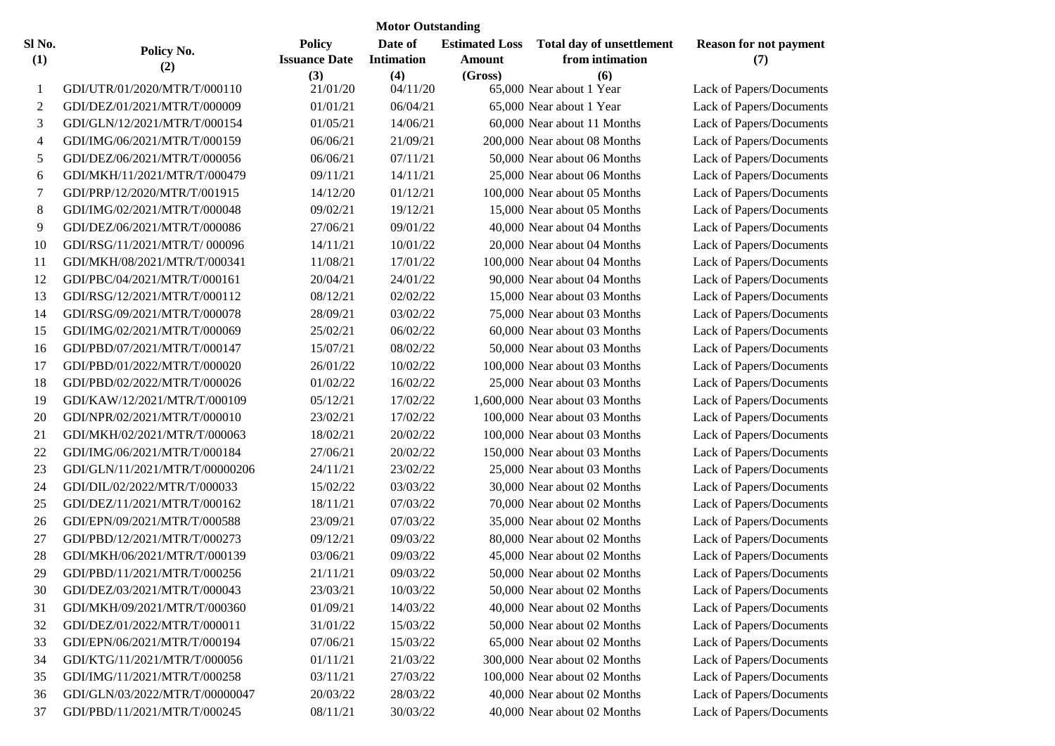| <b>Motor Outstanding</b> |                                |                                              |                                     |                                            |                                                     |                                      |  |  |  |  |  |
|--------------------------|--------------------------------|----------------------------------------------|-------------------------------------|--------------------------------------------|-----------------------------------------------------|--------------------------------------|--|--|--|--|--|
| Sl No.<br>(1)            | Policy No.<br>(2)              | <b>Policy</b><br><b>Issuance Date</b><br>(3) | Date of<br><b>Intimation</b><br>(4) | <b>Estimated Loss</b><br>Amount<br>(Gross) | Total day of unsettlement<br>from intimation<br>(6) | <b>Reason for not payment</b><br>(7) |  |  |  |  |  |
| 1                        | GDI/UTR/01/2020/MTR/T/000110   | 21/01/20                                     | 04/11/20                            |                                            | 65,000 Near about 1 Year                            | Lack of Papers/Documents             |  |  |  |  |  |
| $\overline{c}$           | GDI/DEZ/01/2021/MTR/T/000009   | 01/01/21                                     | 06/04/21                            |                                            | 65,000 Near about 1 Year                            | Lack of Papers/Documents             |  |  |  |  |  |
| 3                        | GDI/GLN/12/2021/MTR/T/000154   | 01/05/21                                     | 14/06/21                            |                                            | 60,000 Near about 11 Months                         | Lack of Papers/Documents             |  |  |  |  |  |
| 4                        | GDI/IMG/06/2021/MTR/T/000159   | 06/06/21                                     | 21/09/21                            |                                            | 200,000 Near about 08 Months                        | Lack of Papers/Documents             |  |  |  |  |  |
| 5                        | GDI/DEZ/06/2021/MTR/T/000056   | 06/06/21                                     | 07/11/21                            |                                            | 50,000 Near about 06 Months                         | Lack of Papers/Documents             |  |  |  |  |  |
| 6                        | GDI/MKH/11/2021/MTR/T/000479   | 09/11/21                                     | 14/11/21                            |                                            | 25,000 Near about 06 Months                         | Lack of Papers/Documents             |  |  |  |  |  |
| 7                        | GDI/PRP/12/2020/MTR/T/001915   | 14/12/20                                     | 01/12/21                            |                                            | 100,000 Near about 05 Months                        | Lack of Papers/Documents             |  |  |  |  |  |
| 8                        | GDI/IMG/02/2021/MTR/T/000048   | 09/02/21                                     | 19/12/21                            |                                            | 15,000 Near about 05 Months                         | Lack of Papers/Documents             |  |  |  |  |  |
| 9                        | GDI/DEZ/06/2021/MTR/T/000086   | 27/06/21                                     | 09/01/22                            |                                            | 40,000 Near about 04 Months                         | Lack of Papers/Documents             |  |  |  |  |  |
| 10                       | GDI/RSG/11/2021/MTR/T/000096   | 14/11/21                                     | 10/01/22                            |                                            | 20,000 Near about 04 Months                         | Lack of Papers/Documents             |  |  |  |  |  |
| 11                       | GDI/MKH/08/2021/MTR/T/000341   | 11/08/21                                     | 17/01/22                            |                                            | 100,000 Near about 04 Months                        | Lack of Papers/Documents             |  |  |  |  |  |
| 12                       | GDI/PBC/04/2021/MTR/T/000161   | 20/04/21                                     | 24/01/22                            |                                            | 90,000 Near about 04 Months                         | Lack of Papers/Documents             |  |  |  |  |  |
| 13                       | GDI/RSG/12/2021/MTR/T/000112   | 08/12/21                                     | 02/02/22                            |                                            | 15,000 Near about 03 Months                         | Lack of Papers/Documents             |  |  |  |  |  |
| 14                       | GDI/RSG/09/2021/MTR/T/000078   | 28/09/21                                     | 03/02/22                            |                                            | 75,000 Near about 03 Months                         | Lack of Papers/Documents             |  |  |  |  |  |
| 15                       | GDI/IMG/02/2021/MTR/T/000069   | 25/02/21                                     | 06/02/22                            |                                            | 60,000 Near about 03 Months                         | Lack of Papers/Documents             |  |  |  |  |  |
| 16                       | GDI/PBD/07/2021/MTR/T/000147   | 15/07/21                                     | 08/02/22                            |                                            | 50,000 Near about 03 Months                         | Lack of Papers/Documents             |  |  |  |  |  |
| 17                       | GDI/PBD/01/2022/MTR/T/000020   | 26/01/22                                     | 10/02/22                            |                                            | 100,000 Near about 03 Months                        | Lack of Papers/Documents             |  |  |  |  |  |
| 18                       | GDI/PBD/02/2022/MTR/T/000026   | 01/02/22                                     | 16/02/22                            |                                            | 25,000 Near about 03 Months                         | Lack of Papers/Documents             |  |  |  |  |  |
| 19                       | GDI/KAW/12/2021/MTR/T/000109   | 05/12/21                                     | 17/02/22                            |                                            | 1,600,000 Near about 03 Months                      | Lack of Papers/Documents             |  |  |  |  |  |
| 20                       | GDI/NPR/02/2021/MTR/T/000010   | 23/02/21                                     | 17/02/22                            |                                            | 100,000 Near about 03 Months                        | Lack of Papers/Documents             |  |  |  |  |  |
| 21                       | GDI/MKH/02/2021/MTR/T/000063   | 18/02/21                                     | 20/02/22                            |                                            | 100,000 Near about 03 Months                        | Lack of Papers/Documents             |  |  |  |  |  |
| 22                       | GDI/IMG/06/2021/MTR/T/000184   | 27/06/21                                     | 20/02/22                            |                                            | 150,000 Near about 03 Months                        | Lack of Papers/Documents             |  |  |  |  |  |
| 23                       | GDI/GLN/11/2021/MTR/T/00000206 | 24/11/21                                     | 23/02/22                            |                                            | 25,000 Near about 03 Months                         | Lack of Papers/Documents             |  |  |  |  |  |
| 24                       | GDI/DIL/02/2022/MTR/T/000033   | 15/02/22                                     | 03/03/22                            |                                            | 30,000 Near about 02 Months                         | Lack of Papers/Documents             |  |  |  |  |  |
| 25                       | GDI/DEZ/11/2021/MTR/T/000162   | 18/11/21                                     | 07/03/22                            |                                            | 70,000 Near about 02 Months                         | Lack of Papers/Documents             |  |  |  |  |  |
| 26                       | GDI/EPN/09/2021/MTR/T/000588   | 23/09/21                                     | 07/03/22                            |                                            | 35,000 Near about 02 Months                         | Lack of Papers/Documents             |  |  |  |  |  |
| 27                       | GDI/PBD/12/2021/MTR/T/000273   | 09/12/21                                     | 09/03/22                            |                                            | 80,000 Near about 02 Months                         | Lack of Papers/Documents             |  |  |  |  |  |
| 28                       | GDI/MKH/06/2021/MTR/T/000139   | 03/06/21                                     | 09/03/22                            |                                            | 45,000 Near about 02 Months                         | Lack of Papers/Documents             |  |  |  |  |  |
| 29                       | GDI/PBD/11/2021/MTR/T/000256   | 21/11/21                                     | 09/03/22                            |                                            | 50,000 Near about 02 Months                         | <b>Lack of Papers/Documents</b>      |  |  |  |  |  |
| 30                       | GDI/DEZ/03/2021/MTR/T/000043   | 23/03/21                                     | 10/03/22                            |                                            | 50,000 Near about 02 Months                         | Lack of Papers/Documents             |  |  |  |  |  |
| 31                       | GDI/MKH/09/2021/MTR/T/000360   | 01/09/21                                     | 14/03/22                            |                                            | 40,000 Near about 02 Months                         | Lack of Papers/Documents             |  |  |  |  |  |
| 32                       | GDI/DEZ/01/2022/MTR/T/000011   | 31/01/22                                     | 15/03/22                            |                                            | 50,000 Near about 02 Months                         | Lack of Papers/Documents             |  |  |  |  |  |
| 33                       | GDI/EPN/06/2021/MTR/T/000194   | 07/06/21                                     | 15/03/22                            |                                            | 65,000 Near about 02 Months                         | Lack of Papers/Documents             |  |  |  |  |  |
| 34                       | GDI/KTG/11/2021/MTR/T/000056   | 01/11/21                                     | 21/03/22                            |                                            | 300,000 Near about 02 Months                        | Lack of Papers/Documents             |  |  |  |  |  |
| 35                       | GDI/IMG/11/2021/MTR/T/000258   | 03/11/21                                     | 27/03/22                            |                                            | 100,000 Near about 02 Months                        | Lack of Papers/Documents             |  |  |  |  |  |
| 36                       | GDI/GLN/03/2022/MTR/T/00000047 | 20/03/22                                     | 28/03/22                            |                                            | 40,000 Near about 02 Months                         | Lack of Papers/Documents             |  |  |  |  |  |
| 37                       | GDI/PBD/11/2021/MTR/T/000245   | 08/11/21                                     | 30/03/22                            |                                            | 40,000 Near about 02 Months                         | Lack of Papers/Documents             |  |  |  |  |  |